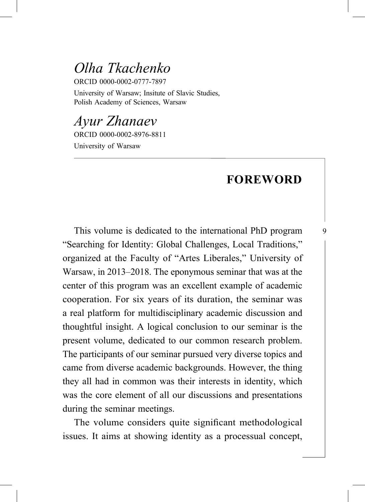## *Olha Tkachenko*

ORCID 0000-0002-0777-7897

University of Warsaw; Insitute of Slavic Studies, Polish Academy of Sciences, Warsaw

*Ayur Zhanaev* ORCID 0000-0002-8976-8811 University of Warsaw

## **FOREWORD**

9

This volume is dedicated to the international PhD program "Searching for Identity: Global Challenges, Local Traditions," organized at the Faculty of "Artes Liberales," University of Warsaw, in 2013–2018. The eponymous seminar that was at the center of this program was an excellent example of academic cooperation. For six years of its duration, the seminar was a real platform for multidisciplinary academic discussion and thoughtful insight. A logical conclusion to our seminar is the present volume, dedicated to our common research problem. The participants of our seminar pursued very diverse topics and came from diverse academic backgrounds. However, the thing they all had in common was their interests in identity, which was the core element of all our discussions and presentations during the seminar meetings.

The volume considers quite significant methodological issues. It aims at showing identity as a processual concept,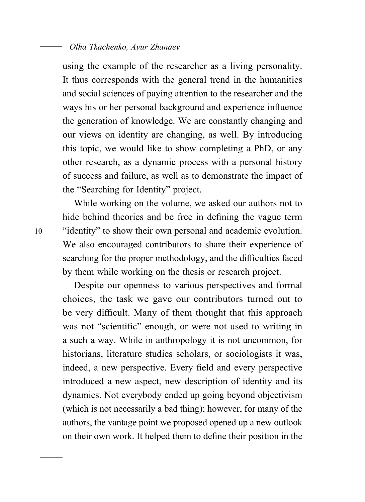## *Olha Tkachenko, Ayur Zhanaev*

using the example of the researcher as a living personality. It thus corresponds with the general trend in the humanities and social sciences of paying attention to the researcher and the ways his or her personal background and experience influence the generation of knowledge. We are constantly changing and our views on identity are changing, as well. By introducing this topic, we would like to show completing a PhD, or any other research, as a dynamic process with a personal history of success and failure, as well as to demonstrate the impact of the "Searching for Identity" project.

While working on the volume, we asked our authors not to hide behind theories and be free in defining the vague term "identity" to show their own personal and academic evolution. We also encouraged contributors to share their experience of searching for the proper methodology, and the difficulties faced by them while working on the thesis or research project.

Despite our openness to various perspectives and formal choices, the task we gave our contributors turned out to be very difficult. Many of them thought that this approach was not "scientific" enough, or were not used to writing in a such a way. While in anthropology it is not uncommon, for historians, literature studies scholars, or sociologists it was, indeed, a new perspective. Every field and every perspective introduced a new aspect, new description of identity and its dynamics. Not everybody ended up going beyond objectivism (which is not necessarily a bad thing); however, for many of the authors, the vantage point we proposed opened up a new outlook on their own work. It helped them to define their position in the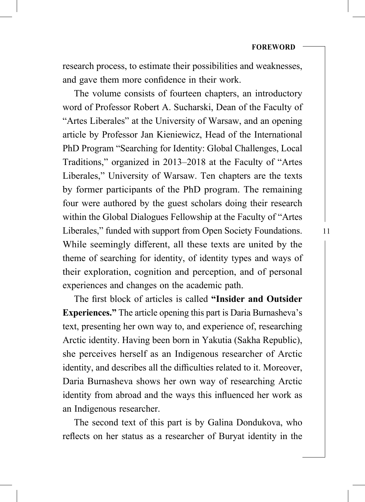research process, to estimate their possibilities and weaknesses, and gave them more confidence in their work.

The volume consists of fourteen chapters, an introductory word of Professor Robert A. Sucharski, Dean of the Faculty of "Artes Liberales" at the University of Warsaw, and an opening article by Professor Jan Kieniewicz, Head of the International PhD Program "Searching for Identity: Global Challenges, Local Traditions," organized in 2013–2018 at the Faculty of "Artes Liberales," University of Warsaw. Ten chapters are the texts by former participants of the PhD program. The remaining four were authored by the guest scholars doing their research within the Global Dialogues Fellowship at the Faculty of "Artes Liberales," funded with support from Open Society Foundations. While seemingly different, all these texts are united by the theme of searching for identity, of identity types and ways of their exploration, cognition and perception, and of personal experiences and changes on the academic path.

The first block of articles is called "Insider and Outsider **Experiences."** The article opening this part is Daria Burnasheva's text, presenting her own way to, and experience of, researching Arctic identity. Having been born in Yakutia (Sakha Republic), she perceives herself as an Indigenous researcher of Arctic identity, and describes all the difficulties related to it. Moreover, Daria Burnasheva shows her own way of researching Arctic identity from abroad and the ways this influenced her work as an Indigenous researcher.

The second text of this part is by Galina Dondukova, who reflects on her status as a researcher of Buryat identity in the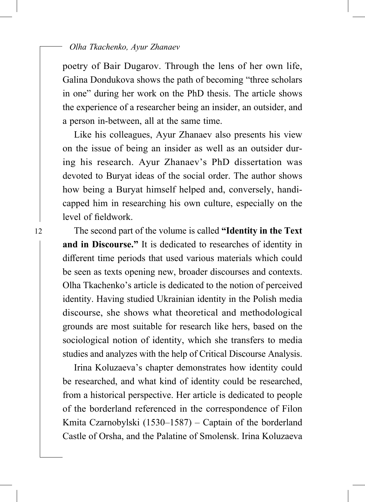poetry of Bair Dugarov. Through the lens of her own life, Galina Dondukova shows the path of becoming "three scholars in one" during her work on the PhD thesis. The article shows the experience of a researcher being an insider, an outsider, and a person in-between, all at the same time.

Like his colleagues, Ayur Zhanaev also presents his view on the issue of being an insider as well as an outsider during his research. Ayur Zhanaev's PhD dissertation was devoted to Buryat ideas of the social order. The author shows how being a Buryat himself helped and, conversely, handicapped him in researching his own culture, especially on the level of fieldwork.

The second part of the volume is called **"Identity in the Text and in Discourse."** It is dedicated to researches of identity in different time periods that used various materials which could be seen as texts opening new, broader discourses and contexts. Olha Tkachenko's article is dedicated to the notion of perceived identity. Having studied Ukrainian identity in the Polish media discourse, she shows what theoretical and methodological grounds are most suitable for research like hers, based on the sociological notion of identity, which she transfers to media studies and analyzes with the help of Critical Discourse Analysis.

Irina Koluzaeva's chapter demonstrates how identity could be researched, and what kind of identity could be researched, from a historical perspective. Her article is dedicated to people of the borderland referenced in the correspondence of Filon Kmita Czarnobylski (1530–1587) – Captain of the borderland Castle of Orsha, and the Palatine of Smolensk. Irina Koluzaeva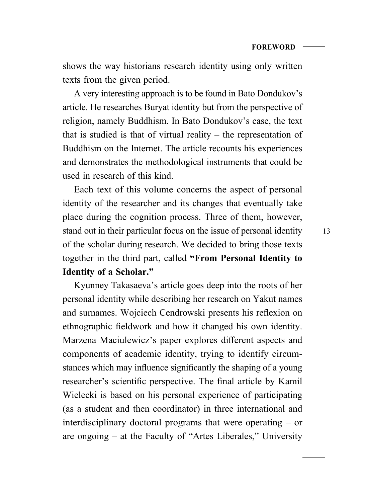shows the way historians research identity using only written texts from the given period.

A very interesting approach is to be found in Bato Dondukov's article. He researches Buryat identity but from the perspective of religion, namely Buddhism. In Bato Dondukov's case, the text that is studied is that of virtual reality – the representation of Buddhism on the Internet. The article recounts his experiences and demonstrates the methodological instruments that could be used in research of this kind.

Each text of this volume concerns the aspect of personal identity of the researcher and its changes that eventually take place during the cognition process. Three of them, however, stand out in their particular focus on the issue of personal identity of the scholar during research. We decided to bring those texts together in the third part, called **"From Personal Identity to Identity of a Scholar."**

Kyunney Takasaeva's article goes deep into the roots of her personal identity while describing her research on Yakut names and surnames. Wojciech Cendrowski presents his reflexion on ethnographic fieldwork and how it changed his own identity. Marzena Maciulewicz's paper explores different aspects and components of academic identity, trying to identify circumstances which may influence significantly the shaping of a young researcher's scientific perspective. The final article by Kamil Wielecki is based on his personal experience of participating (as a student and then coordinator) in three international and interdisciplinary doctoral programs that were operating – or are ongoing – at the Faculty of "Artes Liberales," University